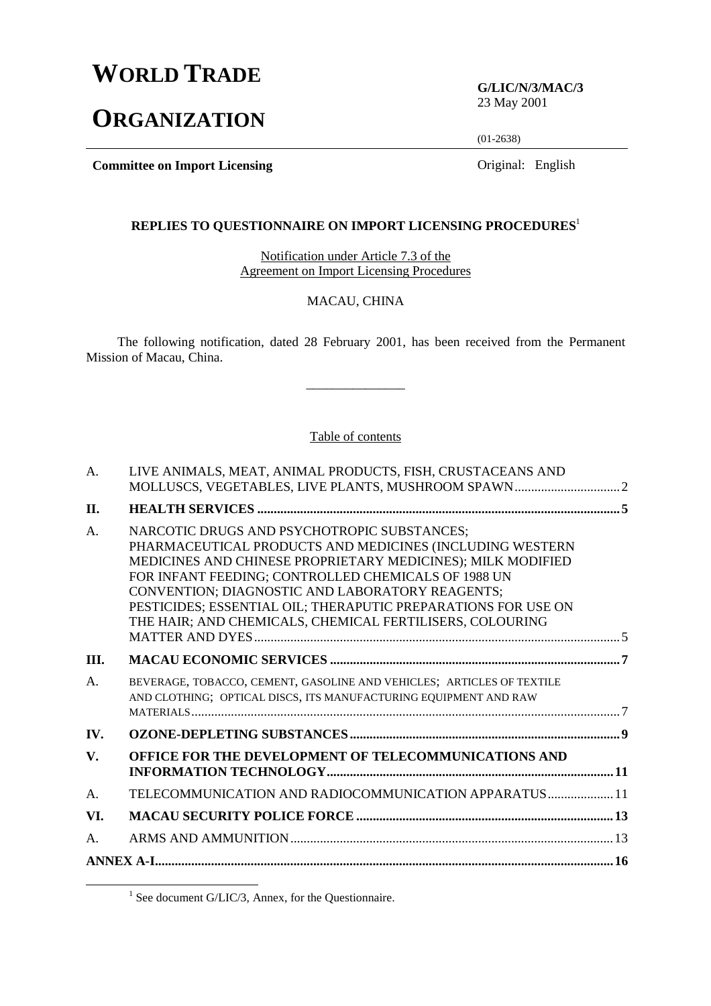# **WORLD TRADE**

# **ORGANIZATION**

**G/LIC/N/3/MAC/3** 23 May 2001

(01-2638)

**Committee on Import Licensing Committee on Import Licensing Original: English** 

## **REPLIES TO QUESTIONNAIRE ON IMPORT LICENSING PROCEDURES**<sup>1</sup>

Notification under Article 7.3 of the Agreement on Import Licensing Procedures

## MACAU, CHINA

The following notification, dated 28 February 2001, has been received from the Permanent Mission of Macau, China.

\_\_\_\_\_\_\_\_\_\_\_\_\_\_\_

#### Table of contents

| A.             | LIVE ANIMALS, MEAT, ANIMAL PRODUCTS, FISH, CRUSTACEANS AND                                                                                                                                                                                                                                                                                                                                                    |  |
|----------------|---------------------------------------------------------------------------------------------------------------------------------------------------------------------------------------------------------------------------------------------------------------------------------------------------------------------------------------------------------------------------------------------------------------|--|
| II.            |                                                                                                                                                                                                                                                                                                                                                                                                               |  |
| A.             | NARCOTIC DRUGS AND PSYCHOTROPIC SUBSTANCES;<br>PHARMACEUTICAL PRODUCTS AND MEDICINES (INCLUDING WESTERN<br>MEDICINES AND CHINESE PROPRIETARY MEDICINES); MILK MODIFIED<br>FOR INFANT FEEDING; CONTROLLED CHEMICALS OF 1988 UN<br>CONVENTION; DIAGNOSTIC AND LABORATORY REAGENTS;<br>PESTICIDES; ESSENTIAL OIL; THERAPUTIC PREPARATIONS FOR USE ON<br>THE HAIR; AND CHEMICALS, CHEMICAL FERTILISERS, COLOURING |  |
| III.           |                                                                                                                                                                                                                                                                                                                                                                                                               |  |
| A <sub>1</sub> | BEVERAGE, TOBACCO, CEMENT, GASOLINE AND VEHICLES; ARTICLES OF TEXTILE<br>AND CLOTHING; OPTICAL DISCS, ITS MANUFACTURING EQUIPMENT AND RAW                                                                                                                                                                                                                                                                     |  |
| IV.            |                                                                                                                                                                                                                                                                                                                                                                                                               |  |
| $V_{\bullet}$  | OFFICE FOR THE DEVELOPMENT OF TELECOMMUNICATIONS AND                                                                                                                                                                                                                                                                                                                                                          |  |
| A.             | TELECOMMUNICATION AND RADIOCOMMUNICATION APPARATUS 11                                                                                                                                                                                                                                                                                                                                                         |  |
| VI.            |                                                                                                                                                                                                                                                                                                                                                                                                               |  |
| $\mathbf{A}$ . |                                                                                                                                                                                                                                                                                                                                                                                                               |  |
|                |                                                                                                                                                                                                                                                                                                                                                                                                               |  |

<sup>&</sup>lt;u>1</u>  $^{1}$  See document G/LIC/3, Annex, for the Questionnaire.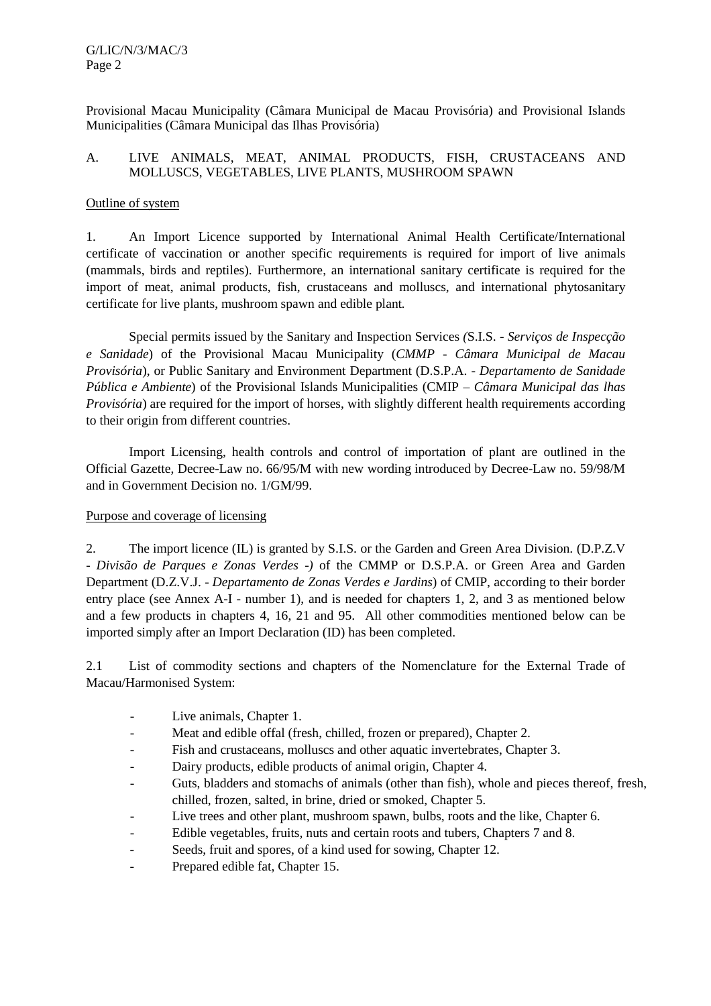Provisional Macau Municipality (Câmara Municipal de Macau Provisória) and Provisional Islands Municipalities (Câmara Municipal das Ilhas Provisória)

# A. LIVE ANIMALS, MEAT, ANIMAL PRODUCTS, FISH, CRUSTACEANS AND MOLLUSCS, VEGETABLES, LIVE PLANTS, MUSHROOM SPAWN

## Outline of system

1. An Import Licence supported by International Animal Health Certificate/International certificate of vaccination or another specific requirements is required for import of live animals (mammals, birds and reptiles). Furthermore, an international sanitary certificate is required for the import of meat, animal products, fish, crustaceans and molluscs, and international phytosanitary certificate for live plants, mushroom spawn and edible plant*.*

Special permits issued by the Sanitary and Inspection Services *(*S.I.S. - *Serviços de Inspecção e Sanidade*) of the Provisional Macau Municipality (*CMMP - Câmara Municipal de Macau Provisória*), or Public Sanitary and Environment Department (D.S.P.A. - *Departamento de Sanidade Pública e Ambiente*) of the Provisional Islands Municipalities (CMIP – *Câmara Municipal das lhas Provisória*) are required for the import of horses, with slightly different health requirements according to their origin from different countries.

Import Licensing, health controls and control of importation of plant are outlined in the Official Gazette, Decree-Law no. 66/95/M with new wording introduced by Decree-Law no. 59/98/M and in Government Decision no. 1/GM/99.

# Purpose and coverage of licensing

2. The import licence (IL) is granted by S.I.S. or the Garden and Green Area Division. (D.P.Z.V - *Divisão de Parques e Zonas Verdes* -*)* of the CMMP or D.S.P.A. or Green Area and Garden Department (D.Z.V.J. - *Departamento de Zonas Verdes e Jardins*) of CMIP, according to their border entry place (see Annex A-I - number 1), and is needed for chapters 1, 2, and 3 as mentioned below and a few products in chapters 4, 16, 21 and 95. All other commodities mentioned below can be imported simply after an Import Declaration (ID) has been completed.

2.1 List of commodity sections and chapters of the Nomenclature for the External Trade of Macau/Harmonised System:

- Live animals, Chapter 1.
- Meat and edible offal (fresh, chilled, frozen or prepared), Chapter 2.
- Fish and crustaceans, molluscs and other aquatic invertebrates, Chapter 3.
- Dairy products, edible products of animal origin, Chapter 4.
- Guts, bladders and stomachs of animals (other than fish), whole and pieces thereof, fresh, chilled, frozen, salted, in brine, dried or smoked, Chapter 5.
- Live trees and other plant, mushroom spawn, bulbs, roots and the like, Chapter 6.
- Edible vegetables, fruits*,* nuts and certain roots and tubers, Chapters 7 and 8.
- Seeds, fruit and spores, of a kind used for sowing, Chapter 12.
- Prepared edible fat, Chapter 15.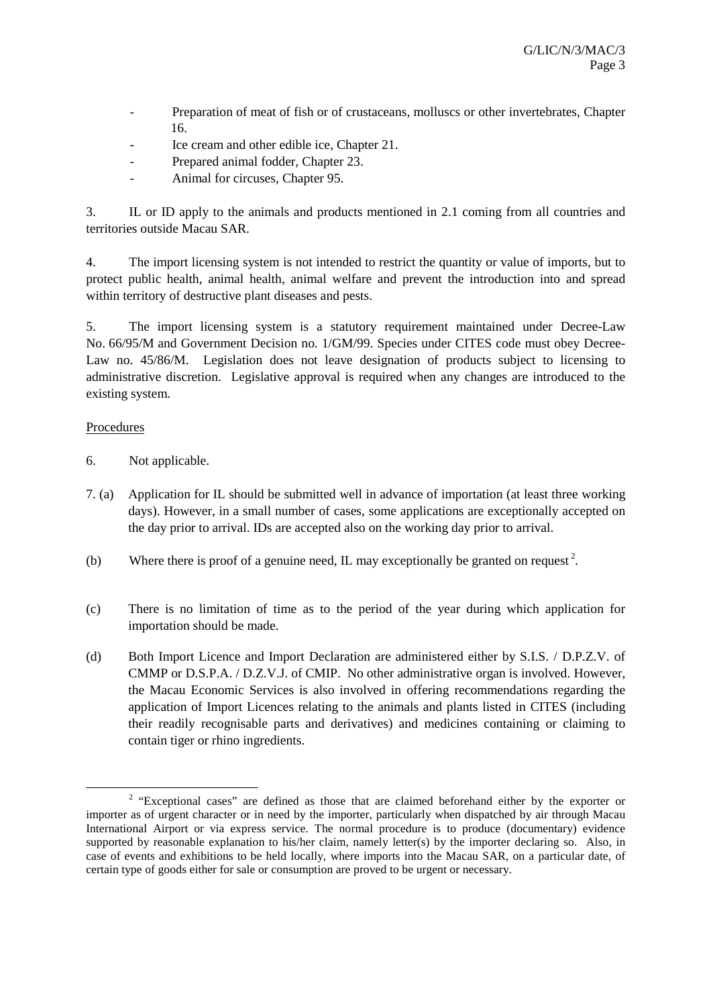- Preparation of meat of fish or of crustaceans, molluscs or other invertebrates, Chapter 16.
- Ice cream and other edible ice, Chapter 21.
- Prepared animal fodder, Chapter 23.
- Animal for circuses, Chapter 95.

3. IL or ID apply to the animals and products mentioned in 2.1 coming from all countries and territories outside Macau SAR.

4. The import licensing system is not intended to restrict the quantity or value of imports, but to protect public health, animal health, animal welfare and prevent the introduction into and spread within territory of destructive plant diseases and pests.

5. The import licensing system is a statutory requirement maintained under Decree-Law No. 66/95/M and Government Decision no. 1/GM/99. Species under CITES code must obey Decree-Law no. 45/86/M. Legislation does not leave designation of products subject to licensing to administrative discretion. Legislative approval is required when any changes are introduced to the existing system.

# Procedures

- 6. Not applicable.
- 7. (a) Application for IL should be submitted well in advance of importation (at least three working days). However, in a small number of cases, some applications are exceptionally accepted on the day prior to arrival. IDs are accepted also on the working day prior to arrival.
- (b) Where there is proof of a genuine need, IL may exceptionally be granted on request<sup>2</sup>.
- (c) There is no limitation of time as to the period of the year during which application for importation should be made.
- (d) Both Import Licence and Import Declaration are administered either by S.I.S. / D.P.Z.V. of CMMP or D.S.P.A. / D.Z.V.J. of CMIP. No other administrative organ is involved. However, the Macau Economic Services is also involved in offering recommendations regarding the application of Import Licences relating to the animals and plants listed in CITES (including their readily recognisable parts and derivatives) and medicines containing or claiming to contain tiger or rhino ingredients.

 $\overline{\phantom{a}}$ <sup>2</sup> "Exceptional cases" are defined as those that are claimed beforehand either by the exporter or importer as of urgent character or in need by the importer, particularly when dispatched by air through Macau International Airport or via express service. The normal procedure is to produce (documentary) evidence supported by reasonable explanation to his/her claim, namely letter(s) by the importer declaring so. Also, in case of events and exhibitions to be held locally, where imports into the Macau SAR, on a particular date, of certain type of goods either for sale or consumption are proved to be urgent or necessary.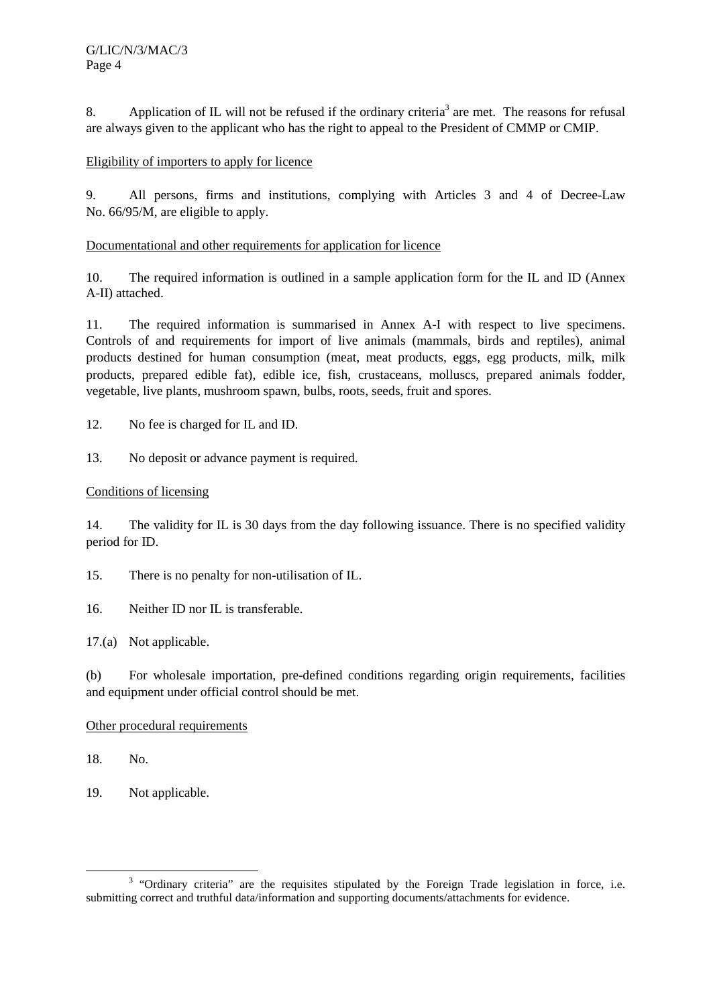8. Application of IL will not be refused if the ordinary criteria<sup>3</sup> are met. The reasons for refusal are always given to the applicant who has the right to appeal to the President of CMMP or CMIP.

# Eligibility of importers to apply for licence

9. All persons, firms and institutions, complying with Articles 3 and 4 of Decree-Law No. 66/95/M, are eligible to apply.

# Documentational and other requirements for application for licence

10. The required information is outlined in a sample application form for the IL and ID (Annex A-II) attached.

11. The required information is summarised in Annex A-I with respect to live specimens. Controls of and requirements for import of live animals (mammals, birds and reptiles), animal products destined for human consumption (meat, meat products, eggs, egg products, milk, milk products, prepared edible fat), edible ice, fish, crustaceans, molluscs, prepared animals fodder, vegetable, live plants, mushroom spawn, bulbs, roots, seeds, fruit and spores.

12. No fee is charged for IL and ID.

13. No deposit or advance payment is required.

# Conditions of licensing

14. The validity for IL is 30 days from the day following issuance. There is no specified validity period for ID.

- 15. There is no penalty for non-utilisation of IL.
- 16. Neither ID nor IL is transferable.
- 17.(a) Not applicable.

(b) For wholesale importation, pre-defined conditions regarding origin requirements, facilities and equipment under official control should be met.

# Other procedural requirements

18. No.

19. Not applicable.

 <sup>3</sup> <sup>3</sup> "Ordinary criteria" are the requisites stipulated by the Foreign Trade legislation in force, i.e. submitting correct and truthful data/information and supporting documents/attachments for evidence.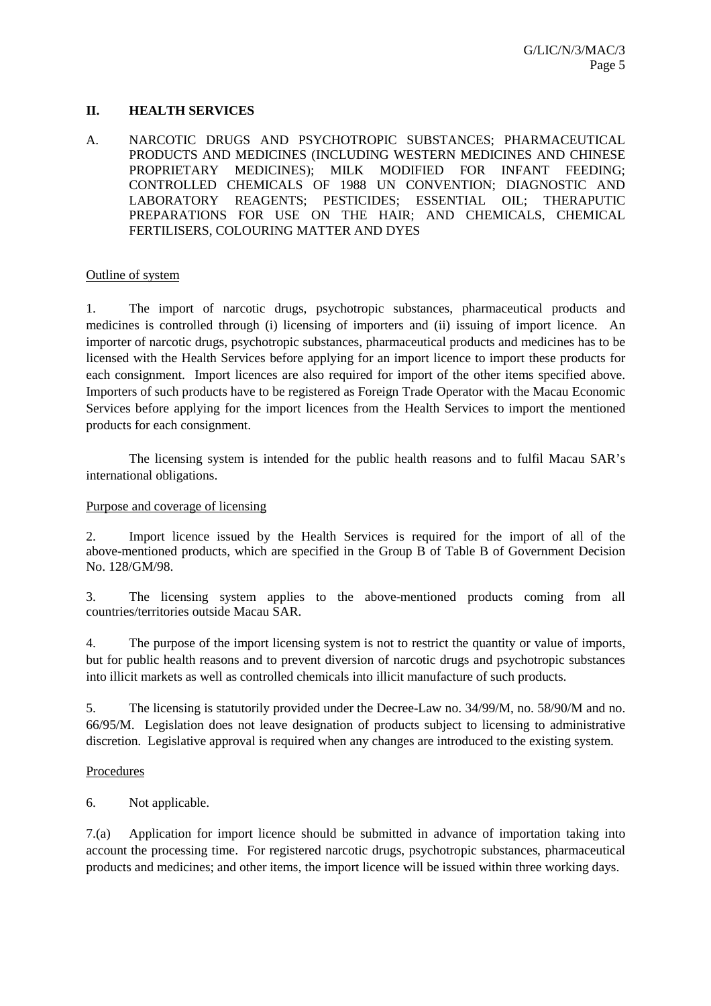## **II. HEALTH SERVICES**

A. NARCOTIC DRUGS AND PSYCHOTROPIC SUBSTANCES; PHARMACEUTICAL PRODUCTS AND MEDICINES (INCLUDING WESTERN MEDICINES AND CHINESE PROPRIETARY MEDICINES); MILK MODIFIED FOR INFANT FEEDING; CONTROLLED CHEMICALS OF 1988 UN CONVENTION; DIAGNOSTIC AND LABORATORY REAGENTS; PESTICIDES; ESSENTIAL OIL; THERAPUTIC PREPARATIONS FOR USE ON THE HAIR; AND CHEMICALS, CHEMICAL FERTILISERS, COLOURING MATTER AND DYES

#### Outline of system

1. The import of narcotic drugs, psychotropic substances, pharmaceutical products and medicines is controlled through (i) licensing of importers and (ii) issuing of import licence. An importer of narcotic drugs, psychotropic substances, pharmaceutical products and medicines has to be licensed with the Health Services before applying for an import licence to import these products for each consignment. Import licences are also required for import of the other items specified above. Importers of such products have to be registered as Foreign Trade Operator with the Macau Economic Services before applying for the import licences from the Health Services to import the mentioned products for each consignment.

 The licensing system is intended for the public health reasons and to fulfil Macau SAR's international obligations.

## Purpose and coverage of licensing

2. Import licence issued by the Health Services is required for the import of all of the above-mentioned products, which are specified in the Group B of Table B of Government Decision No. 128/GM/98.

3. The licensing system applies to the above-mentioned products coming from all countries/territories outside Macau SAR.

4. The purpose of the import licensing system is not to restrict the quantity or value of imports, but for public health reasons and to prevent diversion of narcotic drugs and psychotropic substances into illicit markets as well as controlled chemicals into illicit manufacture of such products.

5. The licensing is statutorily provided under the Decree-Law no. 34/99/M, no. 58/90/M and no. 66/95/M. Legislation does not leave designation of products subject to licensing to administrative discretion. Legislative approval is required when any changes are introduced to the existing system.

#### **Procedures**

6. Not applicable.

7.(a) Application for import licence should be submitted in advance of importation taking into account the processing time. For registered narcotic drugs, psychotropic substances, pharmaceutical products and medicines; and other items, the import licence will be issued within three working days.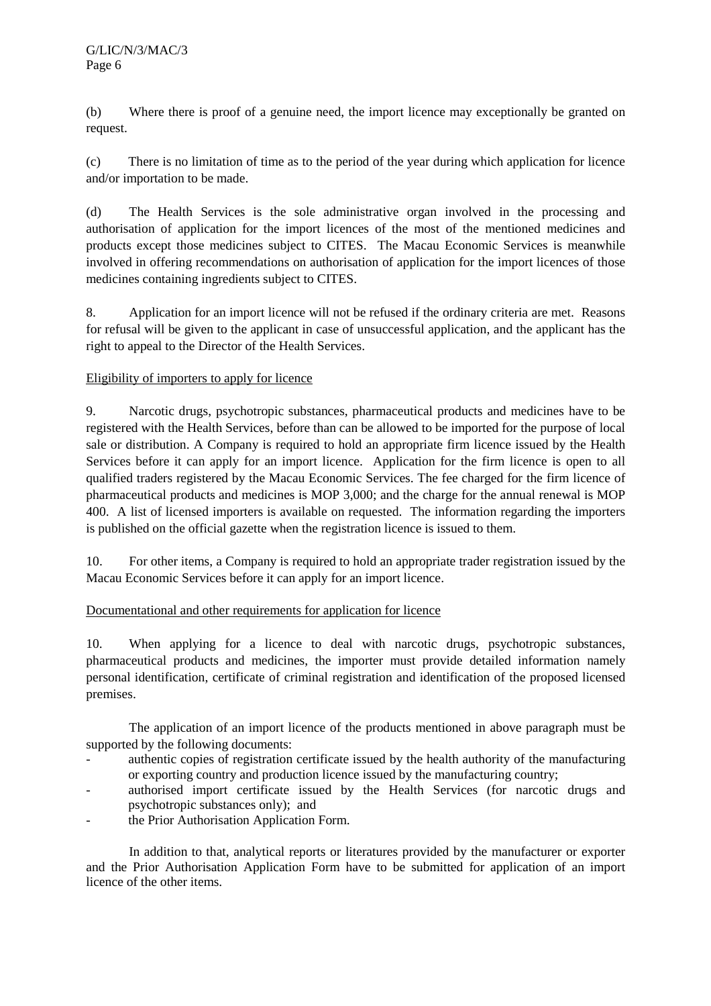(b) Where there is proof of a genuine need, the import licence may exceptionally be granted on request.

(c) There is no limitation of time as to the period of the year during which application for licence and/or importation to be made.

(d) The Health Services is the sole administrative organ involved in the processing and authorisation of application for the import licences of the most of the mentioned medicines and products except those medicines subject to CITES. The Macau Economic Services is meanwhile involved in offering recommendations on authorisation of application for the import licences of those medicines containing ingredients subject to CITES.

8. Application for an import licence will not be refused if the ordinary criteria are met. Reasons for refusal will be given to the applicant in case of unsuccessful application, and the applicant has the right to appeal to the Director of the Health Services.

# Eligibility of importers to apply for licence

9. Narcotic drugs, psychotropic substances, pharmaceutical products and medicines have to be registered with the Health Services, before than can be allowed to be imported for the purpose of local sale or distribution. A Company is required to hold an appropriate firm licence issued by the Health Services before it can apply for an import licence. Application for the firm licence is open to all qualified traders registered by the Macau Economic Services. The fee charged for the firm licence of pharmaceutical products and medicines is MOP 3,000; and the charge for the annual renewal is MOP 400. A list of licensed importers is available on requested. The information regarding the importers is published on the official gazette when the registration licence is issued to them.

10. For other items, a Company is required to hold an appropriate trader registration issued by the Macau Economic Services before it can apply for an import licence.

# Documentational and other requirements for application for licence

10. When applying for a licence to deal with narcotic drugs, psychotropic substances, pharmaceutical products and medicines, the importer must provide detailed information namely personal identification, certificate of criminal registration and identification of the proposed licensed premises.

The application of an import licence of the products mentioned in above paragraph must be supported by the following documents:

- authentic copies of registration certificate issued by the health authority of the manufacturing or exporting country and production licence issued by the manufacturing country;
- authorised import certificate issued by the Health Services (for narcotic drugs and psychotropic substances only); and
- the Prior Authorisation Application Form.

In addition to that, analytical reports or literatures provided by the manufacturer or exporter and the Prior Authorisation Application Form have to be submitted for application of an import licence of the other items.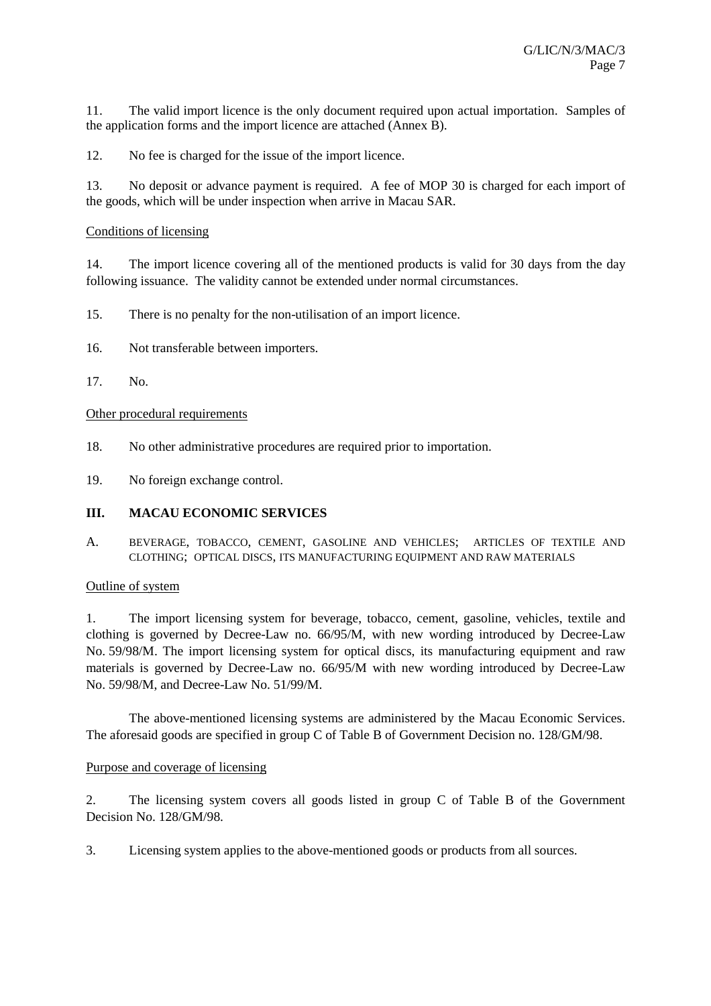11. The valid import licence is the only document required upon actual importation. Samples of the application forms and the import licence are attached (Annex B).

12. No fee is charged for the issue of the import licence.

13. No deposit or advance payment is required. A fee of MOP 30 is charged for each import of the goods, which will be under inspection when arrive in Macau SAR.

## Conditions of licensing

14. The import licence covering all of the mentioned products is valid for 30 days from the day following issuance. The validity cannot be extended under normal circumstances.

- 15. There is no penalty for the non-utilisation of an import licence.
- 16. Not transferable between importers.
- 17. No.

#### Other procedural requirements

- 18. No other administrative procedures are required prior to importation.
- 19. No foreign exchange control.

#### **III. MACAU ECONOMIC SERVICES**

A. BEVERAGE, TOBACCO, CEMENT, GASOLINE AND VEHICLES; ARTICLES OF TEXTILE AND CLOTHING; OPTICAL DISCS, ITS MANUFACTURING EQUIPMENT AND RAW MATERIALS

#### Outline of system

1. The import licensing system for beverage, tobacco, cement, gasoline, vehicles, textile and clothing is governed by Decree-Law no. 66/95/M, with new wording introduced by Decree-Law No. 59/98/M. The import licensing system for optical discs, its manufacturing equipment and raw materials is governed by Decree-Law no. 66/95/M with new wording introduced by Decree-Law No. 59/98/M, and Decree-Law No. 51/99/M.

The above-mentioned licensing systems are administered by the Macau Economic Services. The aforesaid goods are specified in group C of Table B of Government Decision no. 128/GM/98.

#### Purpose and coverage of licensing

2. The licensing system covers all goods listed in group C of Table B of the Government Decision No. 128/GM/98.

3. Licensing system applies to the above-mentioned goods or products from all sources.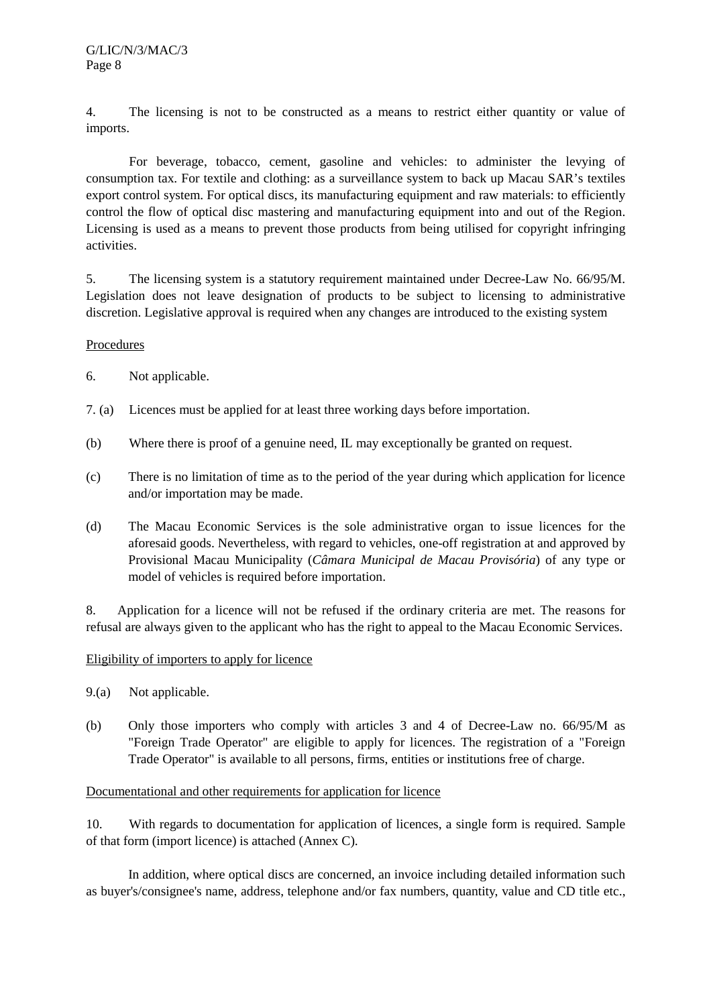4. The licensing is not to be constructed as a means to restrict either quantity or value of imports.

For beverage, tobacco, cement, gasoline and vehicles: to administer the levying of consumption tax. For textile and clothing: as a surveillance system to back up Macau SAR's textiles export control system. For optical discs, its manufacturing equipment and raw materials: to efficiently control the flow of optical disc mastering and manufacturing equipment into and out of the Region. Licensing is used as a means to prevent those products from being utilised for copyright infringing activities.

5. The licensing system is a statutory requirement maintained under Decree-Law No. 66/95/M. Legislation does not leave designation of products to be subject to licensing to administrative discretion. Legislative approval is required when any changes are introduced to the existing system

# Procedures

- 6. Not applicable.
- 7. (a) Licences must be applied for at least three working days before importation.
- (b) Where there is proof of a genuine need, IL may exceptionally be granted on request.
- (c) There is no limitation of time as to the period of the year during which application for licence and/or importation may be made.
- (d) The Macau Economic Services is the sole administrative organ to issue licences for the aforesaid goods. Nevertheless, with regard to vehicles, one-off registration at and approved by Provisional Macau Municipality (*Câmara Municipal de Macau Provisória*) of any type or model of vehicles is required before importation.

8. Application for a licence will not be refused if the ordinary criteria are met. The reasons for refusal are always given to the applicant who has the right to appeal to the Macau Economic Services.

# Eligibility of importers to apply for licence

- 9.(a) Not applicable.
- (b) Only those importers who comply with articles 3 and 4 of Decree-Law no. 66/95/M as "Foreign Trade Operator" are eligible to apply for licences. The registration of a "Foreign Trade Operator" is available to all persons, firms, entities or institutions free of charge.

# Documentational and other requirements for application for licence

10. With regards to documentation for application of licences, a single form is required. Sample of that form (import licence) is attached (Annex C).

In addition, where optical discs are concerned, an invoice including detailed information such as buyer's/consignee's name, address, telephone and/or fax numbers, quantity, value and CD title etc.,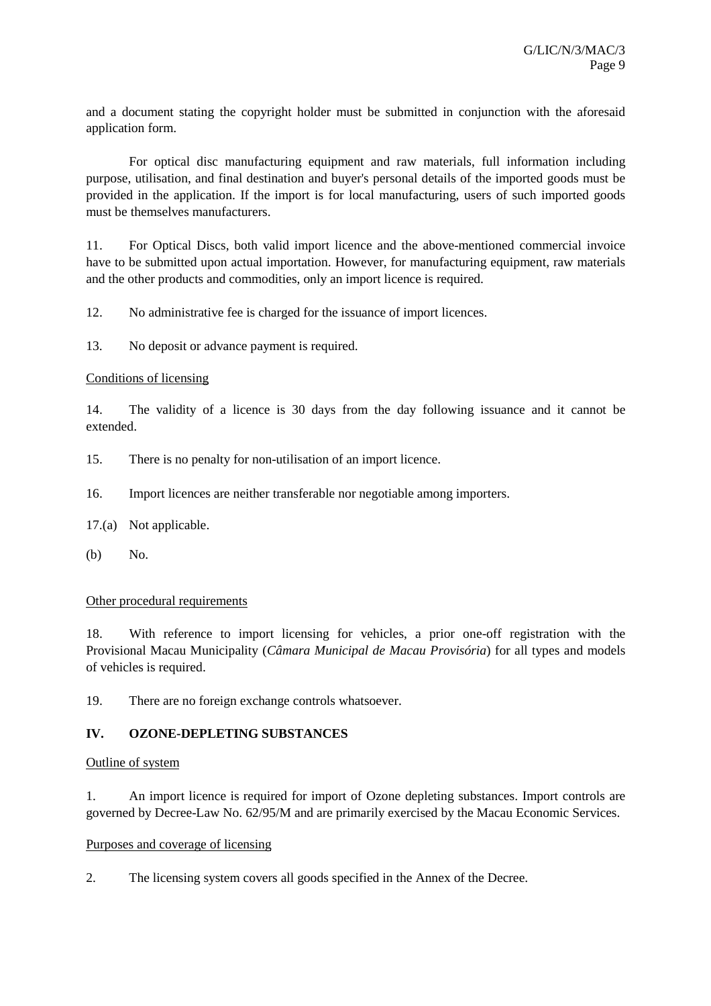and a document stating the copyright holder must be submitted in conjunction with the aforesaid application form.

For optical disc manufacturing equipment and raw materials, full information including purpose, utilisation, and final destination and buyer's personal details of the imported goods must be provided in the application. If the import is for local manufacturing, users of such imported goods must be themselves manufacturers.

11. For Optical Discs, both valid import licence and the above-mentioned commercial invoice have to be submitted upon actual importation. However, for manufacturing equipment, raw materials and the other products and commodities, only an import licence is required.

12. No administrative fee is charged for the issuance of import licences.

13. No deposit or advance payment is required.

## Conditions of licensing

14. The validity of a licence is 30 days from the day following issuance and it cannot be extended.

- 15. There is no penalty for non-utilisation of an import licence.
- 16. Import licences are neither transferable nor negotiable among importers.
- 17.(a) Not applicable.
- (b) No.

#### Other procedural requirements

18. With reference to import licensing for vehicles, a prior one-off registration with the Provisional Macau Municipality (*Câmara Municipal de Macau Provisória*) for all types and models of vehicles is required.

19. There are no foreign exchange controls whatsoever.

# **IV. OZONE-DEPLETING SUBSTANCES**

#### Outline of system

1. An import licence is required for import of Ozone depleting substances. Import controls are governed by Decree-Law No. 62/95/M and are primarily exercised by the Macau Economic Services.

#### Purposes and coverage of licensing

2. The licensing system covers all goods specified in the Annex of the Decree.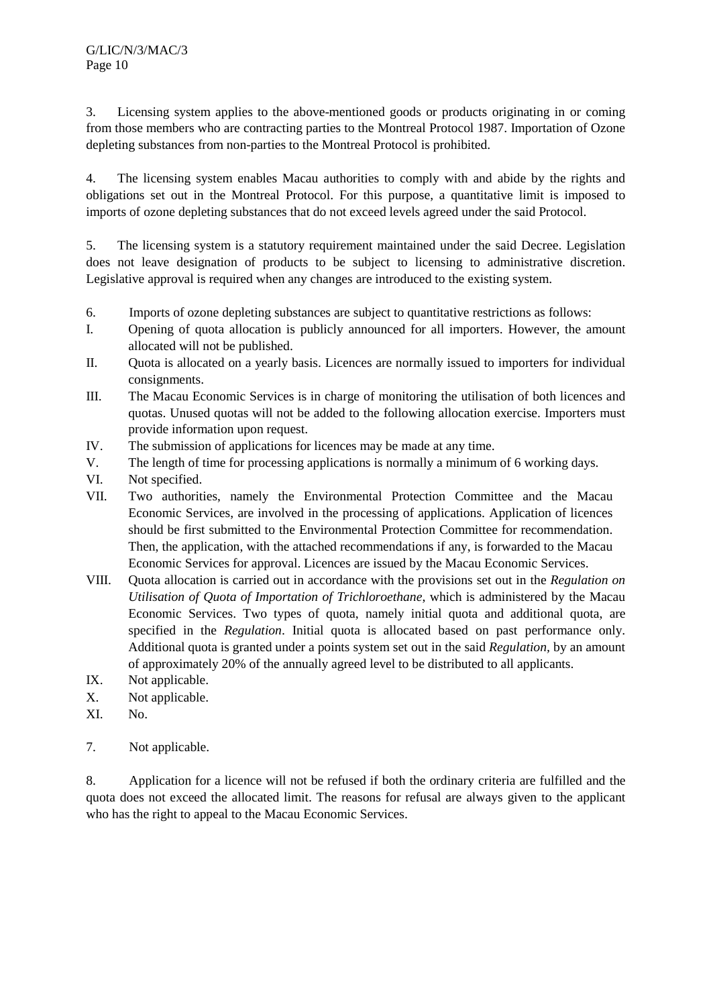3. Licensing system applies to the above-mentioned goods or products originating in or coming from those members who are contracting parties to the Montreal Protocol 1987. Importation of Ozone depleting substances from non-parties to the Montreal Protocol is prohibited.

4. The licensing system enables Macau authorities to comply with and abide by the rights and obligations set out in the Montreal Protocol. For this purpose, a quantitative limit is imposed to imports of ozone depleting substances that do not exceed levels agreed under the said Protocol.

5. The licensing system is a statutory requirement maintained under the said Decree. Legislation does not leave designation of products to be subject to licensing to administrative discretion. Legislative approval is required when any changes are introduced to the existing system.

- 6. Imports of ozone depleting substances are subject to quantitative restrictions as follows:
- I. Opening of quota allocation is publicly announced for all importers. However, the amount allocated will not be published.
- II. Quota is allocated on a yearly basis. Licences are normally issued to importers for individual consignments.
- III. The Macau Economic Services is in charge of monitoring the utilisation of both licences and quotas. Unused quotas will not be added to the following allocation exercise. Importers must provide information upon request.
- IV. The submission of applications for licences may be made at any time.
- V. The length of time for processing applications is normally a minimum of 6 working days.
- VI. Not specified.
- VII. Two authorities, namely the Environmental Protection Committee and the Macau Economic Services, are involved in the processing of applications. Application of licences should be first submitted to the Environmental Protection Committee for recommendation. Then, the application, with the attached recommendations if any, is forwarded to the Macau Economic Services for approval. Licences are issued by the Macau Economic Services.
- VIII. Quota allocation is carried out in accordance with the provisions set out in the *Regulation on Utilisation of Quota of Importation of Trichloroethane*, which is administered by the Macau Economic Services. Two types of quota, namely initial quota and additional quota, are specified in the *Regulation*. Initial quota is allocated based on past performance only. Additional quota is granted under a points system set out in the said *Regulation,* by an amount of approximately 20% of the annually agreed level to be distributed to all applicants.
- IX. Not applicable.
- X. Not applicable.
- XI. No.
- 7. Not applicable.

8. Application for a licence will not be refused if both the ordinary criteria are fulfilled and the quota does not exceed the allocated limit. The reasons for refusal are always given to the applicant who has the right to appeal to the Macau Economic Services.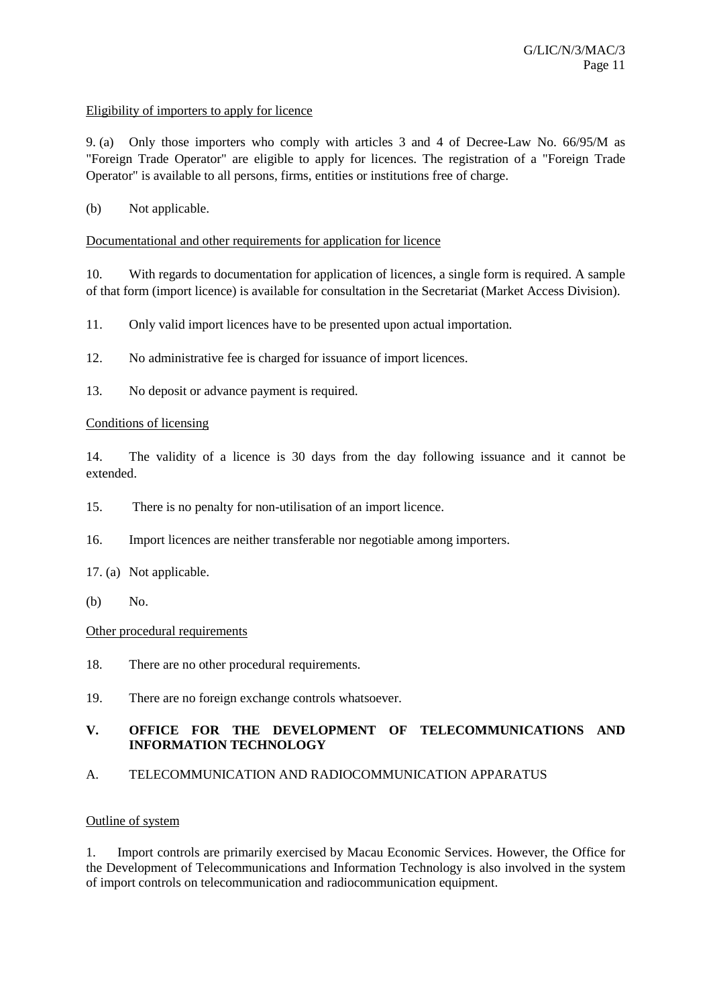## Eligibility of importers to apply for licence

9. (a) Only those importers who comply with articles 3 and 4 of Decree-Law No. 66/95/M as "Foreign Trade Operator" are eligible to apply for licences. The registration of a "Foreign Trade Operator" is available to all persons, firms, entities or institutions free of charge.

## (b) Not applicable.

## Documentational and other requirements for application for licence

10. With regards to documentation for application of licences, a single form is required. A sample of that form (import licence) is available for consultation in the Secretariat (Market Access Division).

11. Only valid import licences have to be presented upon actual importation.

- 12. No administrative fee is charged for issuance of import licences.
- 13. No deposit or advance payment is required.

#### Conditions of licensing

14. The validity of a licence is 30 days from the day following issuance and it cannot be extended.

- 15. There is no penalty for non-utilisation of an import licence.
- 16. Import licences are neither transferable nor negotiable among importers.
- 17. (a) Not applicable.
- (b) No.

## Other procedural requirements

- 18. There are no other procedural requirements.
- 19. There are no foreign exchange controls whatsoever.

# **V. OFFICE FOR THE DEVELOPMENT OF TELECOMMUNICATIONS AND INFORMATION TECHNOLOGY**

A. TELECOMMUNICATION AND RADIOCOMMUNICATION APPARATUS

## Outline of system

1. Import controls are primarily exercised by Macau Economic Services. However, the Office for the Development of Telecommunications and Information Technology is also involved in the system of import controls on telecommunication and radiocommunication equipment.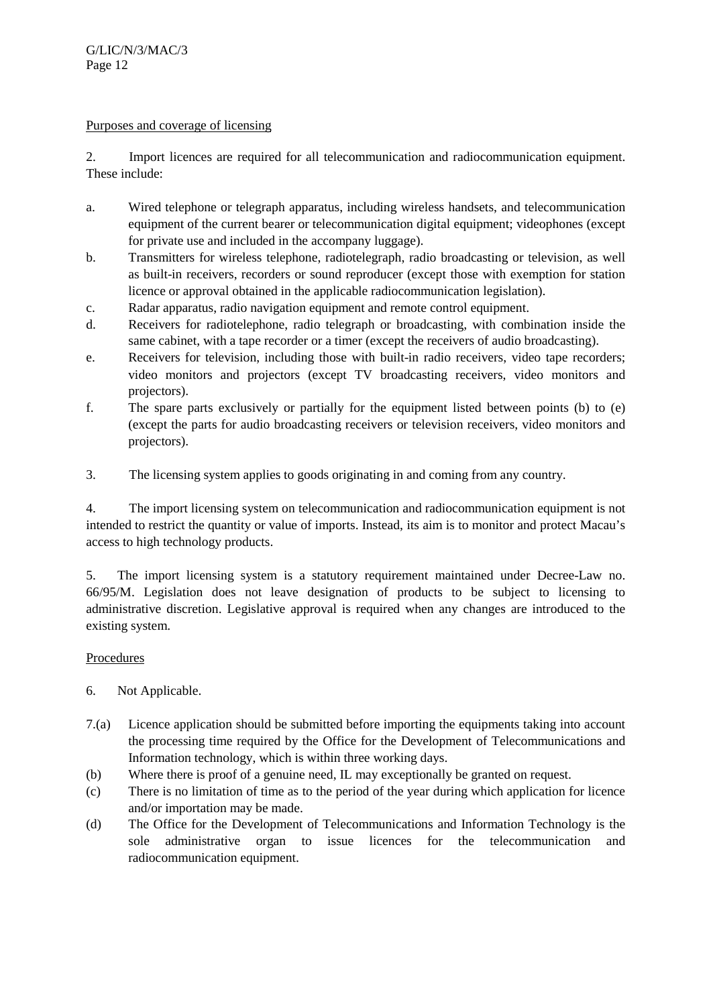## Purposes and coverage of licensing

2. Import licences are required for all telecommunication and radiocommunication equipment. These include:

- a. Wired telephone or telegraph apparatus, including wireless handsets, and telecommunication equipment of the current bearer or telecommunication digital equipment; videophones (except for private use and included in the accompany luggage).
- b. Transmitters for wireless telephone, radiotelegraph, radio broadcasting or television, as well as built-in receivers, recorders or sound reproducer (except those with exemption for station licence or approval obtained in the applicable radiocommunication legislation).
- c. Radar apparatus, radio navigation equipment and remote control equipment.
- d. Receivers for radiotelephone, radio telegraph or broadcasting, with combination inside the same cabinet, with a tape recorder or a timer (except the receivers of audio broadcasting).
- e. Receivers for television, including those with built-in radio receivers, video tape recorders; video monitors and projectors (except TV broadcasting receivers, video monitors and projectors).
- f. The spare parts exclusively or partially for the equipment listed between points (b) to (e) (except the parts for audio broadcasting receivers or television receivers, video monitors and projectors).
- 3. The licensing system applies to goods originating in and coming from any country.

4. The import licensing system on telecommunication and radiocommunication equipment is not intended to restrict the quantity or value of imports. Instead, its aim is to monitor and protect Macau's access to high technology products.

5. The import licensing system is a statutory requirement maintained under Decree-Law no. 66/95/M. Legislation does not leave designation of products to be subject to licensing to administrative discretion. Legislative approval is required when any changes are introduced to the existing system.

# Procedures

- 6. Not Applicable.
- 7.(a) Licence application should be submitted before importing the equipments taking into account the processing time required by the Office for the Development of Telecommunications and Information technology, which is within three working days.
- (b) Where there is proof of a genuine need, IL may exceptionally be granted on request.
- (c) There is no limitation of time as to the period of the year during which application for licence and/or importation may be made.
- (d) The Office for the Development of Telecommunications and Information Technology is the sole administrative organ to issue licences for the telecommunication and radiocommunication equipment.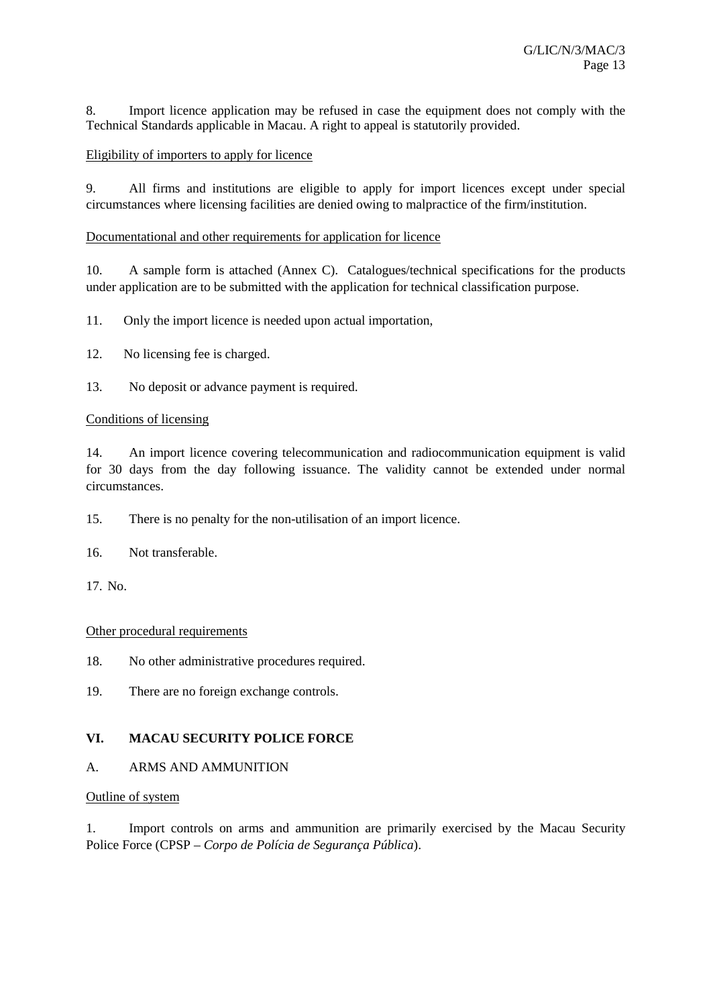8. Import licence application may be refused in case the equipment does not comply with the Technical Standards applicable in Macau. A right to appeal is statutorily provided.

## Eligibility of importers to apply for licence

9. All firms and institutions are eligible to apply for import licences except under special circumstances where licensing facilities are denied owing to malpractice of the firm/institution.

## Documentational and other requirements for application for licence

10. A sample form is attached (Annex C). Catalogues/technical specifications for the products under application are to be submitted with the application for technical classification purpose.

11. Only the import licence is needed upon actual importation,

- 12. No licensing fee is charged.
- 13. No deposit or advance payment is required.

#### Conditions of licensing

14. An import licence covering telecommunication and radiocommunication equipment is valid for 30 days from the day following issuance. The validity cannot be extended under normal circumstances.

15. There is no penalty for the non-utilisation of an import licence.

16. Not transferable.

17. No.

#### Other procedural requirements

18. No other administrative procedures required.

19. There are no foreign exchange controls.

# **VI. MACAU SECURITY POLICE FORCE**

#### A. ARMS AND AMMUNITION

# Outline of system

1. Import controls on arms and ammunition are primarily exercised by the Macau Security Police Force (CPSP – *Corpo de Polícia de Segurança Pública*).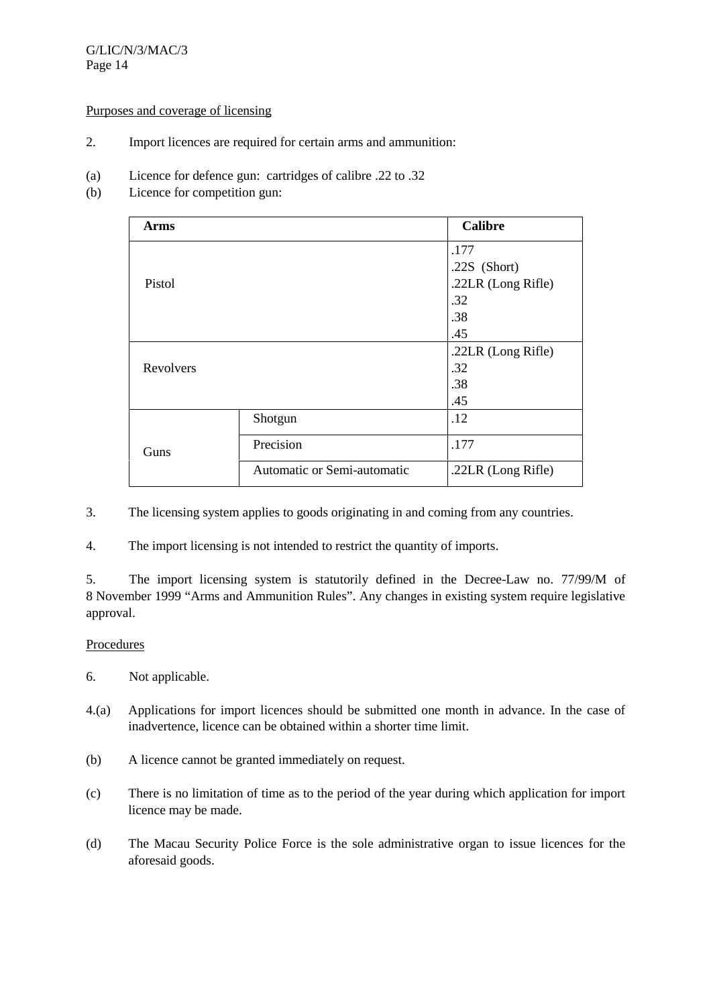## G/LIC/N/3/MAC/3 Page 14

#### Purposes and coverage of licensing

- 2. Import licences are required for certain arms and ammunition:
- (a) Licence for defence gun: cartridges of calibre .22 to .32
- (b) Licence for competition gun:

| Arms      |                             | <b>Calibre</b>     |
|-----------|-----------------------------|--------------------|
|           |                             | .177               |
|           |                             | .22S $(Short)$     |
| Pistol    |                             | .22LR (Long Rifle) |
|           |                             | .32                |
|           |                             | .38                |
|           |                             | .45                |
|           |                             | .22LR (Long Rifle) |
| Revolvers |                             | .32                |
|           |                             | .38                |
|           |                             | .45                |
|           | Shotgun                     | .12                |
| Guns      | Precision                   | .177               |
|           | Automatic or Semi-automatic | .22LR (Long Rifle) |

3. The licensing system applies to goods originating in and coming from any countries.

4. The import licensing is not intended to restrict the quantity of imports.

5. The import licensing system is statutorily defined in the Decree-Law no. 77/99/M of 8 November 1999 "Arms and Ammunition Rules". Any changes in existing system require legislative approval.

#### **Procedures**

- 6. Not applicable.
- 4.(a) Applications for import licences should be submitted one month in advance. In the case of inadvertence, licence can be obtained within a shorter time limit.
- (b) A licence cannot be granted immediately on request.
- (c) There is no limitation of time as to the period of the year during which application for import licence may be made.
- (d) The Macau Security Police Force is the sole administrative organ to issue licences for the aforesaid goods.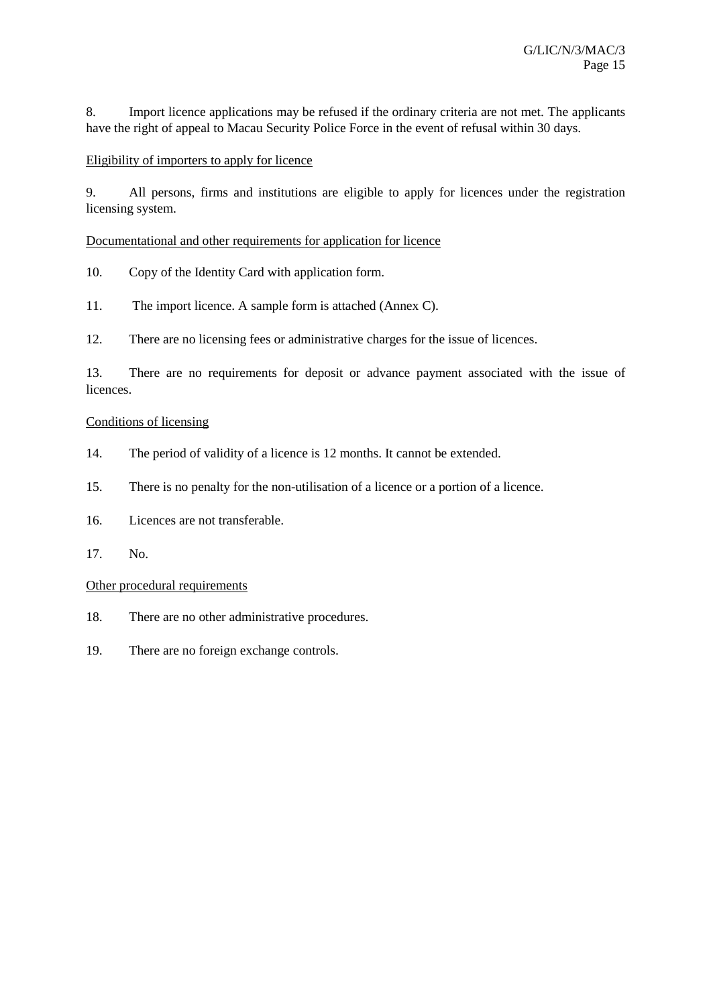8. Import licence applications may be refused if the ordinary criteria are not met. The applicants have the right of appeal to Macau Security Police Force in the event of refusal within 30 days.

# Eligibility of importers to apply for licence

9. All persons, firms and institutions are eligible to apply for licences under the registration licensing system.

Documentational and other requirements for application for licence

- 10. Copy of the Identity Card with application form.
- 11. The import licence. A sample form is attached (Annex C).

12. There are no licensing fees or administrative charges for the issue of licences.

13. There are no requirements for deposit or advance payment associated with the issue of **licences** 

#### Conditions of licensing

- 14. The period of validity of a licence is 12 months. It cannot be extended.
- 15. There is no penalty for the non-utilisation of a licence or a portion of a licence.
- 16. Licences are not transferable.
- 17. No.

## Other procedural requirements

- 18. There are no other administrative procedures.
- 19. There are no foreign exchange controls.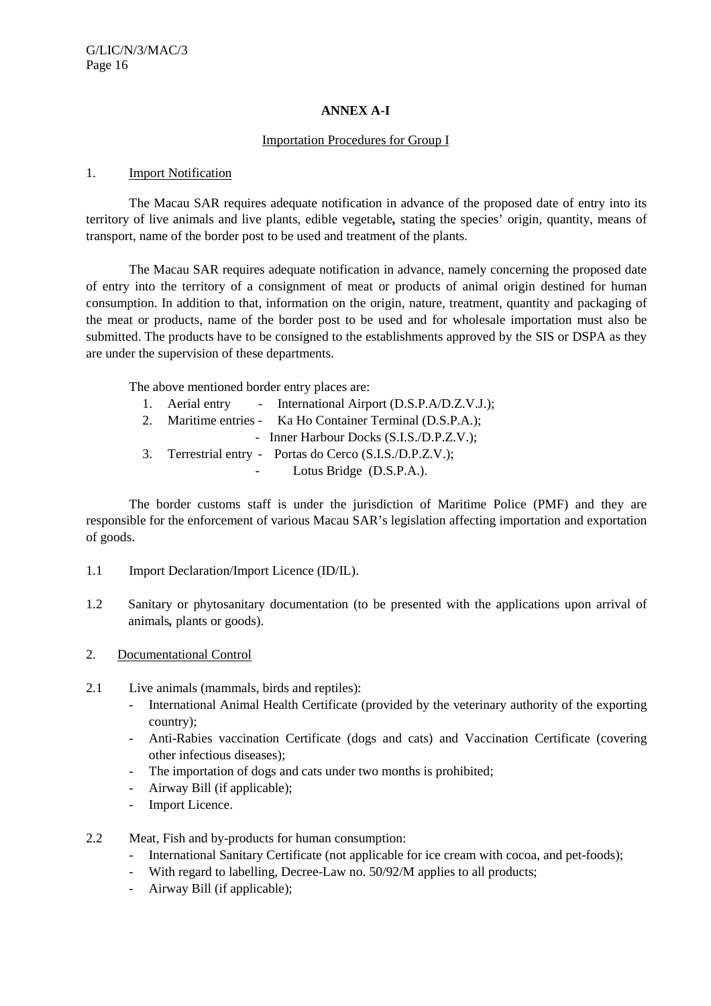## **ANNEX A-I**

## Importation Procedures for Group I

#### 1. Import Notification

The Macau SAR requires adequate notification in advance of the proposed date of entry into its territory of live animals and live plants, edible vegetable*,* stating the species' origin, quantity, means of transport, name of the border post to be used and treatment of the plants.

The Macau SAR requires adequate notification in advance, namely concerning the proposed date of entry into the territory of a consignment of meat or products of animal origin destined for human consumption. In addition to that, information on the origin, nature, treatment, quantity and packaging of the meat or products, name of the border post to be used and for wholesale importation must also be submitted. The products have to be consigned to the establishments approved by the SIS or DSPA as they are under the supervision of these departments.

The above mentioned border entry places are:

|  | 1. Aerial entry - International Airport (D.S.P.A/D.Z.V.J.);                                                                                    |
|--|------------------------------------------------------------------------------------------------------------------------------------------------|
|  | 2. Maritime entries - Ka Ho Container Terminal (D.S.P.A.);                                                                                     |
|  | - Inner Harbour Docks (S.I.S./D.P.Z.V.);                                                                                                       |
|  | 3. Terrestrial entry - Portas do Cerco (S.I.S./D.P.Z.V.);                                                                                      |
|  | $\mathbf{r}$ $\mathbf{r}$ $\mathbf{r}$ $\mathbf{r}$ $\mathbf{r}$ $\mathbf{r}$ $\mathbf{r}$ $\mathbf{r}$ $\mathbf{r}$ $\mathbf{r}$ $\mathbf{r}$ |

Lotus Bridge (D.S.P.A.).

The border customs staff is under the jurisdiction of Maritime Police (PMF) and they are responsible for the enforcement of various Macau SAR's legislation affecting importation and exportation of goods.

- 1.1 Import Declaration/Import Licence (ID/IL).
- 1.2 Sanitary or phytosanitary documentation (to be presented with the applications upon arrival of animals*,* plants or goods).
- 2. Documentational Control
- 2.1 Live animals (mammals, birds and reptiles):
	- International Animal Health Certificate (provided by the veterinary authority of the exporting country);
	- Anti-Rabies vaccination Certificate (dogs and cats) and Vaccination Certificate (covering other infectious diseases);
	- The importation of dogs and cats under two months is prohibited;
	- Airway Bill (if applicable);
	- Import Licence.
- 2.2 Meat, Fish and by-products for human consumption:
	- International Sanitary Certificate (not applicable for ice cream with cocoa, and pet-foods);
	- With regard to labelling, Decree-Law no. 50/92/M applies to all products;
	- Airway Bill (if applicable);